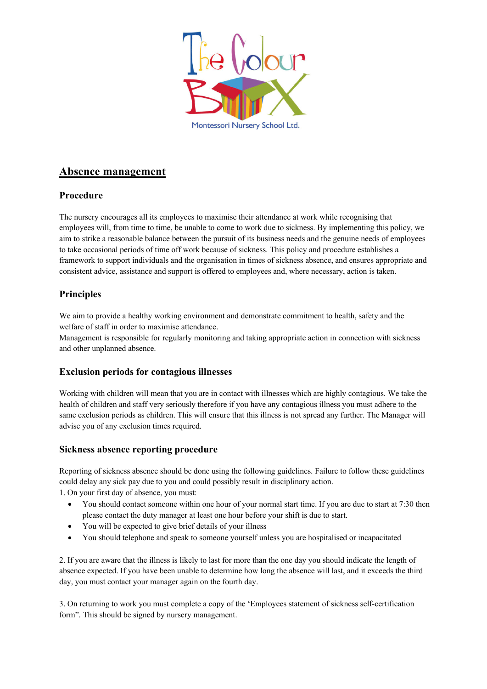

# **Absence management**

## **Procedure**

The nursery encourages all its employees to maximise their attendance at work while recognising that employees will, from time to time, be unable to come to work due to sickness. By implementing this policy, we aim to strike a reasonable balance between the pursuit of its business needs and the genuine needs of employees to take occasional periods of time off work because of sickness. This policy and procedure establishes a framework to support individuals and the organisation in times of sickness absence, and ensures appropriate and consistent advice, assistance and support is offered to employees and, where necessary, action is taken.

# **Principles**

We aim to provide a healthy working environment and demonstrate commitment to health, safety and the welfare of staff in order to maximise attendance.

Management is responsible for regularly monitoring and taking appropriate action in connection with sickness and other unplanned absence.

## **Exclusion periods for contagious illnesses**

Working with children will mean that you are in contact with illnesses which are highly contagious. We take the health of children and staff very seriously therefore if you have any contagious illness you must adhere to the same exclusion periods as children. This will ensure that this illness is not spread any further. The Manager will advise you of any exclusion times required.

### **Sickness absence reporting procedure**

Reporting of sickness absence should be done using the following guidelines. Failure to follow these guidelines could delay any sick pay due to you and could possibly result in disciplinary action.

1. On your first day of absence, you must:

- You should contact someone within one hour of your normal start time. If you are due to start at 7:30 then please contact the duty manager at least one hour before your shift is due to start.
- You will be expected to give brief details of your illness
- You should telephone and speak to someone yourself unless you are hospitalised or incapacitated

2. If you are aware that the illness is likely to last for more than the one day you should indicate the length of absence expected. If you have been unable to determine how long the absence will last, and it exceeds the third day, you must contact your manager again on the fourth day.

3. On returning to work you must complete a copy of the 'Employees statement of sickness self-certification form". This should be signed by nursery management.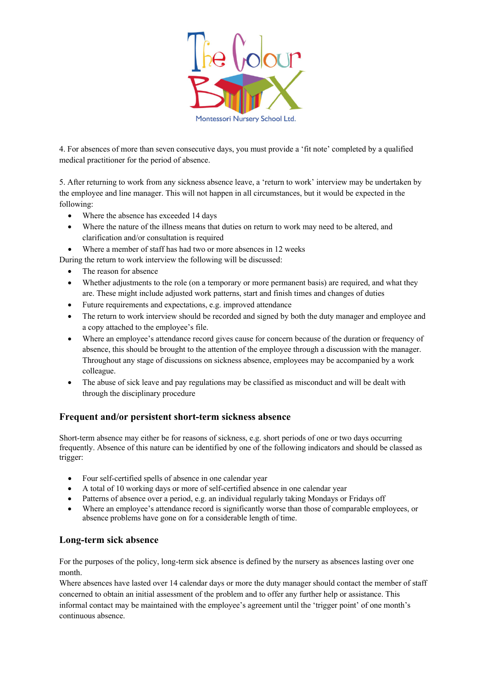

4. For absences of more than seven consecutive days, you must provide a 'fit note' completed by a qualified medical practitioner for the period of absence.

5. After returning to work from any sickness absence leave, a 'return to work' interview may be undertaken by the employee and line manager. This will not happen in all circumstances, but it would be expected in the following:

- Where the absence has exceeded 14 days
- Where the nature of the illness means that duties on return to work may need to be altered, and clarification and/or consultation is required
- Where a member of staff has had two or more absences in 12 weeks

During the return to work interview the following will be discussed:

- The reason for absence
- Whether adjustments to the role (on a temporary or more permanent basis) are required, and what they are. These might include adjusted work patterns, start and finish times and changes of duties
- Future requirements and expectations, e.g. improved attendance
- The return to work interview should be recorded and signed by both the duty manager and employee and a copy attached to the employee's file.
- Where an employee's attendance record gives cause for concern because of the duration or frequency of absence, this should be brought to the attention of the employee through a discussion with the manager. Throughout any stage of discussions on sickness absence, employees may be accompanied by a work colleague.
- The abuse of sick leave and pay regulations may be classified as misconduct and will be dealt with through the disciplinary procedure

## **Frequent and/or persistent short-term sickness absence**

Short-term absence may either be for reasons of sickness, e.g. short periods of one or two days occurring frequently. Absence of this nature can be identified by one of the following indicators and should be classed as trigger:

- Four self-certified spells of absence in one calendar year
- A total of 10 working days or more of self-certified absence in one calendar year
- Patterns of absence over a period, e.g. an individual regularly taking Mondays or Fridays off
- Where an employee's attendance record is significantly worse than those of comparable employees, or absence problems have gone on for a considerable length of time.

### **Long-term sick absence**

For the purposes of the policy, long-term sick absence is defined by the nursery as absences lasting over one month.

Where absences have lasted over 14 calendar days or more the duty manager should contact the member of staff concerned to obtain an initial assessment of the problem and to offer any further help or assistance. This informal contact may be maintained with the employee's agreement until the 'trigger point' of one month's continuous absence.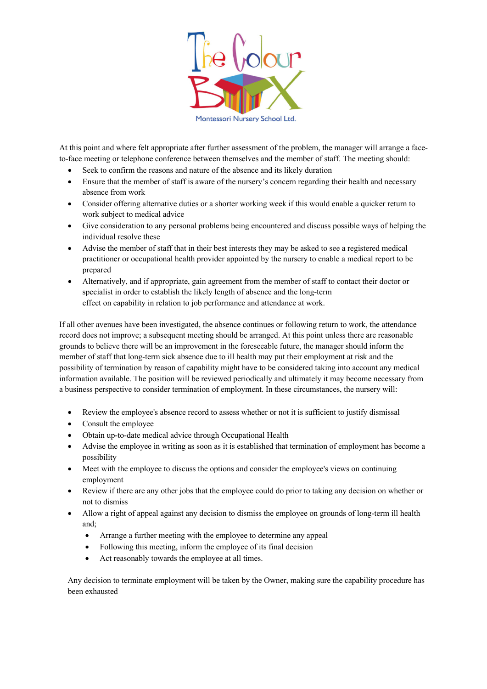

At this point and where felt appropriate after further assessment of the problem, the manager will arrange a faceto-face meeting or telephone conference between themselves and the member of staff. The meeting should:

- Seek to confirm the reasons and nature of the absence and its likely duration
- Ensure that the member of staff is aware of the nursery's concern regarding their health and necessary absence from work
- Consider offering alternative duties or a shorter working week if this would enable a quicker return to work subject to medical advice
- Give consideration to any personal problems being encountered and discuss possible ways of helping the individual resolve these
- Advise the member of staff that in their best interests they may be asked to see a registered medical practitioner or occupational health provider appointed by the nursery to enable a medical report to be prepared
- Alternatively, and if appropriate, gain agreement from the member of staff to contact their doctor or specialist in order to establish the likely length of absence and the long-term effect on capability in relation to job performance and attendance at work.

If all other avenues have been investigated, the absence continues or following return to work, the attendance record does not improve; a subsequent meeting should be arranged. At this point unless there are reasonable grounds to believe there will be an improvement in the foreseeable future, the manager should inform the member of staff that long-term sick absence due to ill health may put their employment at risk and the possibility of termination by reason of capability might have to be considered taking into account any medical information available. The position will be reviewed periodically and ultimately it may become necessary from a business perspective to consider termination of employment. In these circumstances, the nursery will:

- Review the employee's absence record to assess whether or not it is sufficient to justify dismissal
- Consult the employee
- Obtain up-to-date medical advice through Occupational Health
- Advise the employee in writing as soon as it is established that termination of employment has become a possibility
- Meet with the employee to discuss the options and consider the employee's views on continuing employment
- Review if there are any other jobs that the employee could do prior to taking any decision on whether or not to dismiss
- Allow a right of appeal against any decision to dismiss the employee on grounds of long-term ill health and;
	- Arrange a further meeting with the employee to determine any appeal
	- Following this meeting, inform the employee of its final decision
	- Act reasonably towards the employee at all times.

Any decision to terminate employment will be taken by the Owner, making sure the capability procedure has been exhausted